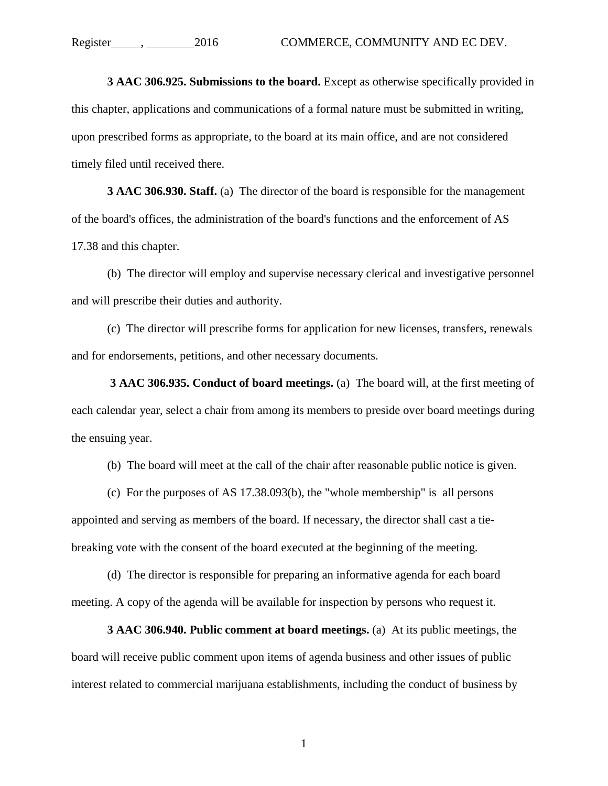**3 AAC 306.925. Submissions to the board.** Except as otherwise specifically provided in this chapter, applications and communications of a formal nature must be submitted in writing, upon prescribed forms as appropriate, to the board at its main office, and are not considered timely filed until received there.

**3 AAC 306.930. Staff.** (a) The director of the board is responsible for the management of the board's offices, the administration of the board's functions and the enforcement of AS 17.38 and this chapter.

(b) The director will employ and supervise necessary clerical and investigative personnel and will prescribe their duties and authority.

(c) The director will prescribe forms for application for new licenses, transfers, renewals and for endorsements, petitions, and other necessary documents.

**3 AAC 306.935. Conduct of board meetings.** (a) The board will, at the first meeting of each calendar year, select a chair from among its members to preside over board meetings during the ensuing year.

(b) The board will meet at the call of the chair after reasonable public notice is given.

(c) For the purposes of AS 17.38.093(b), the "whole membership" is all persons appointed and serving as members of the board. If necessary, the director shall cast a tiebreaking vote with the consent of the board executed at the beginning of the meeting.

(d) The director is responsible for preparing an informative agenda for each board meeting. A copy of the agenda will be available for inspection by persons who request it.

**3 AAC 306.940. Public comment at board meetings.** (a) At its public meetings, the board will receive public comment upon items of agenda business and other issues of public interest related to commercial marijuana establishments, including the conduct of business by

1